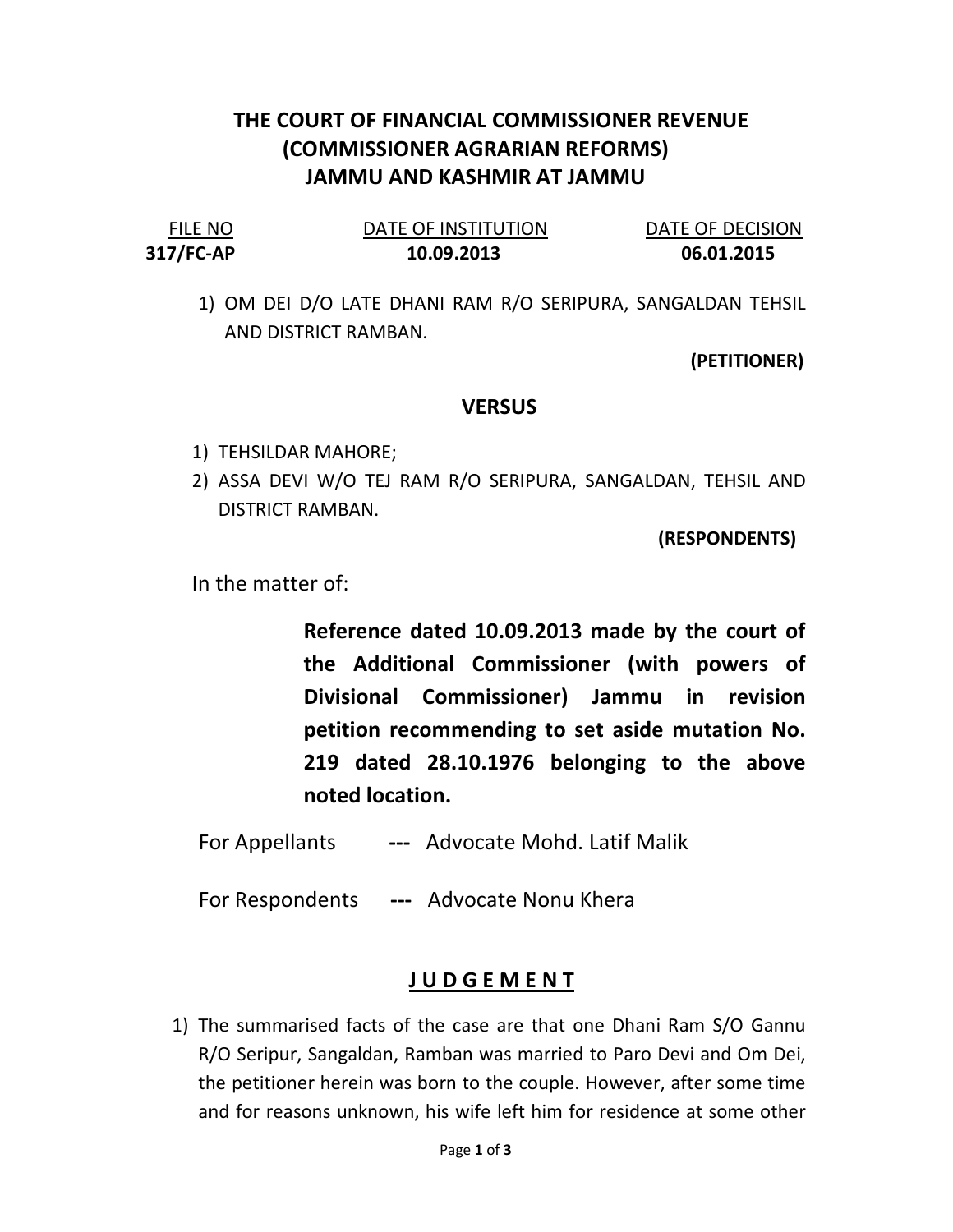## THE COURT OF FINANCIAL COMMISSIONER REVENUE (COMMISSIONER AGRARIAN REFORMS) JAMMU AND KASHMIR AT JAMMU

| <b>FILE NO</b> | DATE OF INSTITUTION | DATE OF DECISION |
|----------------|---------------------|------------------|
| 317/FC-AP      | 10.09.2013          | 06.01.2015       |

1) OM DEI D/O LATE DHANI RAM R/O SERIPURA, SANGALDAN TEHSIL AND DISTRICT RAMBAN.

(PETITIONER)

## **VERSUS**

- 1) TEHSILDAR MAHORE;
- 2) ASSA DEVI W/O TEJ RAM R/O SERIPURA, SANGALDAN, TEHSIL AND DISTRICT RAMBAN.

(RESPONDENTS)

In the matter of:

Reference dated 10.09.2013 made by the court of the Additional Commissioner (with powers of Divisional Commissioner) Jammu in revision petition recommending to set aside mutation No. 219 dated 28.10.1976 belonging to the above noted location.

- For Appellants --- Advocate Mohd. Latif Malik
- For Respondents --- Advocate Nonu Khera

## J U D G E M E N T

1) The summarised facts of the case are that one Dhani Ram S/O Gannu R/O Seripur, Sangaldan, Ramban was married to Paro Devi and Om Dei, the petitioner herein was born to the couple. However, after some time and for reasons unknown, his wife left him for residence at some other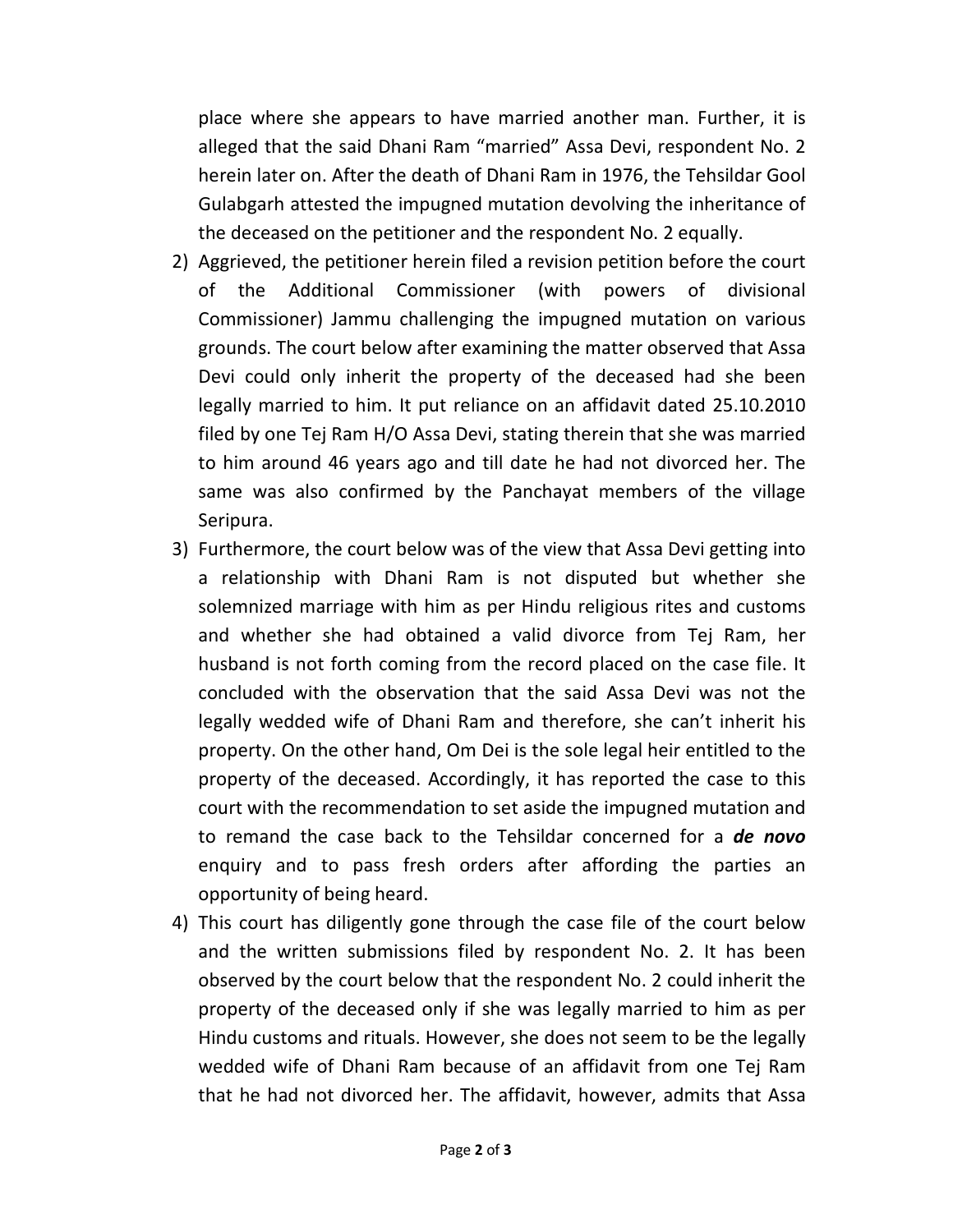place where she appears to have married another man. Further, it is alleged that the said Dhani Ram "married" Assa Devi, respondent No. 2 herein later on. After the death of Dhani Ram in 1976, the Tehsildar Gool Gulabgarh attested the impugned mutation devolving the inheritance of the deceased on the petitioner and the respondent No. 2 equally.

- 2) Aggrieved, the petitioner herein filed a revision petition before the court of the Additional Commissioner (with powers of divisional Commissioner) Jammu challenging the impugned mutation on various grounds. The court below after examining the matter observed that Assa Devi could only inherit the property of the deceased had she been legally married to him. It put reliance on an affidavit dated 25.10.2010 filed by one Tej Ram H/O Assa Devi, stating therein that she was married to him around 46 years ago and till date he had not divorced her. The same was also confirmed by the Panchayat members of the village Seripura.
- 3) Furthermore, the court below was of the view that Assa Devi getting into a relationship with Dhani Ram is not disputed but whether she solemnized marriage with him as per Hindu religious rites and customs and whether she had obtained a valid divorce from Tej Ram, her husband is not forth coming from the record placed on the case file. It concluded with the observation that the said Assa Devi was not the legally wedded wife of Dhani Ram and therefore, she can't inherit his property. On the other hand, Om Dei is the sole legal heir entitled to the property of the deceased. Accordingly, it has reported the case to this court with the recommendation to set aside the impugned mutation and to remand the case back to the Tehsildar concerned for a **de novo** enquiry and to pass fresh orders after affording the parties an opportunity of being heard.
- 4) This court has diligently gone through the case file of the court below and the written submissions filed by respondent No. 2. It has been observed by the court below that the respondent No. 2 could inherit the property of the deceased only if she was legally married to him as per Hindu customs and rituals. However, she does not seem to be the legally wedded wife of Dhani Ram because of an affidavit from one Tej Ram that he had not divorced her. The affidavit, however, admits that Assa